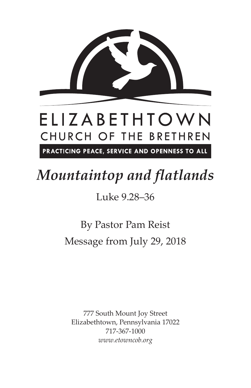

## *Mountaintop and flatlands*

Luke 9.28–36

By Pastor Pam Reist Message from July 29, 2018

777 South Mount Joy Street Elizabethtown, Pennsylvania 17022 717-367-1000 *www.etowncob.org*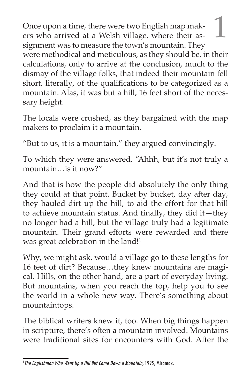Once upon a time, there were two English map makers who arrived at a Welsh village, where their assignment was to measure the town's mountain. They were methodical and meticulous, as they should be, in their calculations, only to arrive at the conclusion, much to the dismay of the village folks, that indeed their mountain fell short, literally, of the qualifications to be categorized as a mountain. Alas, it was but a hill, 16 feet short of the necessary height.

The locals were crushed, as they bargained with the map makers to proclaim it a mountain.

"But to us, it is a mountain," they argued convincingly.

To which they were answered, "Ahhh, but it's not truly a mountain…is it now?"

And that is how the people did absolutely the only thing they could at that point. Bucket by bucket, day after day, they hauled dirt up the hill, to aid the effort for that hill to achieve mountain status. And finally, they did it—they no longer had a hill, but the village truly had a legitimate mountain. Their grand efforts were rewarded and there was great celebration in the land!<sup>1</sup>

Why, we might ask, would a village go to these lengths for 16 feet of dirt? Because…they knew mountains are magical. Hills, on the other hand, are a part of everyday living. But mountains, when you reach the top, help you to see the world in a whole new way. There's something about mountaintops.

The biblical writers knew it, too. When big things happen in scripture, there's often a mountain involved. Mountains were traditional sites for encounters with God. After the

<sup>&</sup>lt;sup>1</sup> The Englishman Who Went Up a Hill But Came Down a Mountain, 1995, Miramax.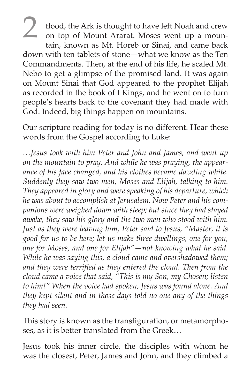flood, the Ark is thought to have left Noah and crew on top of Mount Ararat. Moses went up a mountain, known as Mt. Horeb or Sinai, and came back down with ten tablets of stone—what we know as the Ten Commandments. Then, at the end of his life, he scaled Mt. Nebo to get a glimpse of the promised land. It was again on Mount Sinai that God appeared to the prophet Elijah as recorded in the book of I Kings, and he went on to turn people's hearts back to the covenant they had made with God. Indeed, big things happen on mountains.

Our scripture reading for today is no different. Hear these words from the Gospel according to Luke:

*…Jesus took with him Peter and John and James, and went up on the mountain to pray. And while he was praying, the appearance of his face changed, and his clothes became dazzling white. Suddenly they saw two men, Moses and Elijah, talking to him. They appeared in glory and were speaking of his departure, which he was about to accomplish at Jerusalem. Now Peter and his companions were weighed down with sleep; but since they had stayed awake, they saw his glory and the two men who stood with him. Just as they were leaving him, Peter said to Jesus, "Master, it is good for us to be here; let us make three dwellings, one for you, one for Moses, and one for Elijah"—not knowing what he said. While he was saying this, a cloud came and overshadowed them; and they were terrified as they entered the cloud. Then from the cloud came a voice that said, "This is my Son, my Chosen; listen to him!" When the voice had spoken, Jesus was found alone. And they kept silent and in those days told no one any of the things they had seen.*

This story is known as the transfiguration, or metamorphoses, as it is better translated from the Greek…

Jesus took his inner circle, the disciples with whom he was the closest, Peter, James and John, and they climbed a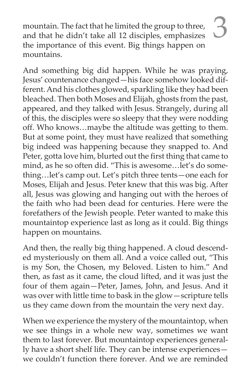mountain. The fact that he limited the group to three, and that he didn't take all 12 disciples, emphasizes the importance of this event. Big things happen on mountains.

And something big did happen. While he was praying, Jesus' countenance changed—his face somehow looked different. And his clothes glowed, sparkling like they had been bleached. Then both Moses and Elijah, ghosts from the past, appeared, and they talked with Jesus. Strangely, during all of this, the disciples were so sleepy that they were nodding off. Who knows…maybe the altitude was getting to them. But at some point, they must have realized that something big indeed was happening because they snapped to. And Peter, gotta love him, blurted out the first thing that came to mind, as he so often did. "This is awesome…let's do something…let's camp out. Let's pitch three tents—one each for Moses, Elijah and Jesus. Peter knew that this was big. After all, Jesus was glowing and hanging out with the heroes of the faith who had been dead for centuries. Here were the forefathers of the Jewish people. Peter wanted to make this mountaintop experience last as long as it could. Big things happen on mountains.

And then, the really big thing happened. A cloud descended mysteriously on them all. And a voice called out, "This is my Son, the Chosen, my Beloved. Listen to him." And then, as fast as it came, the cloud lifted, and it was just the four of them again—Peter, James, John, and Jesus. And it was over with little time to bask in the glow—scripture tells us they came down from the mountain the very next day.

When we experience the mystery of the mountaintop, when we see things in a whole new way, sometimes we want them to last forever. But mountaintop experiences generally have a short shelf life. They can be intense experiences we couldn't function there forever. And we are reminded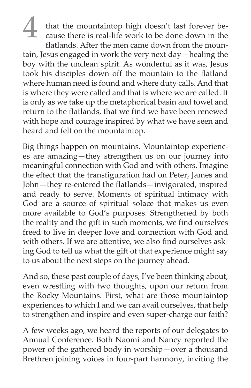that the mountaintop high doesn't last forever because there is real-life work to be done down in the flatlands. After the men came down from the mountain, Jesus engaged in work the very next day—healing the boy with the unclean spirit. As wonderful as it was, Jesus took his disciples down off the mountain to the flatland where human need is found and where duty calls. And that is where they were called and that is where we are called. It is only as we take up the metaphorical basin and towel and return to the flatlands, that we find we have been renewed with hope and courage inspired by what we have seen and heard and felt on the mountaintop.

Big things happen on mountains. Mountaintop experiences are amazing—they strengthen us on our journey into meaningful connection with God and with others. Imagine the effect that the transfiguration had on Peter, James and John—they re-entered the flatlands—invigorated, inspired and ready to serve. Moments of spiritual intimacy with God are a source of spiritual solace that makes us even more available to God's purposes. Strengthened by both the reality and the gift in such moments, we find ourselves freed to live in deeper love and connection with God and with others. If we are attentive, we also find ourselves asking God to tell us what the gift of that experience might say to us about the next steps on the journey ahead.

And so, these past couple of days, I've been thinking about, even wrestling with two thoughts, upon our return from the Rocky Mountains. First, what are those mountaintop experiences to which I and we can avail ourselves, that help to strengthen and inspire and even super-charge our faith?

A few weeks ago, we heard the reports of our delegates to Annual Conference. Both Naomi and Nancy reported the power of the gathered body in worship—over a thousand Brethren joining voices in four-part harmony, inviting the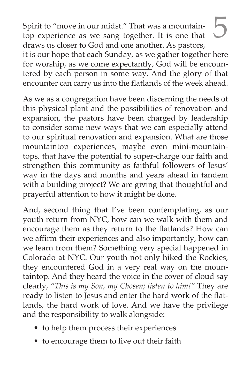Spirit to "move in our midst." That was a mountaintop experience as we sang together. It is one that draws us closer to God and one another. As pastors, it is our hope that each Sunday, as we gather together here for worship, as we come expectantly, God will be encountered by each person in some way. And the glory of that encounter can carry us into the flatlands of the week ahead.

As we as a congregation have been discerning the needs of this physical plant and the possibilities of renovation and expansion, the pastors have been charged by leadership to consider some new ways that we can especially attend to our spiritual renovation and expansion. What are those mountaintop experiences, maybe even mini-mountaintops, that have the potential to super-charge our faith and strengthen this community as faithful followers of Jesus' way in the days and months and years ahead in tandem with a building project? We are giving that thoughtful and prayerful attention to how it might be done.

And, second thing that I've been contemplating, as our youth return from NYC, how can we walk with them and encourage them as they return to the flatlands? How can we affirm their experiences and also importantly, how can we learn from them? Something very special happened in Colorado at NYC. Our youth not only hiked the Rockies, they encountered God in a very real way on the mountaintop. And they heard the voice in the cover of cloud say clearly, *"This is my Son, my Chosen; listen to him!"* They are ready to listen to Jesus and enter the hard work of the flatlands, the hard work of love. And we have the privilege and the responsibility to walk alongside:

- to help them process their experiences
- to encourage them to live out their faith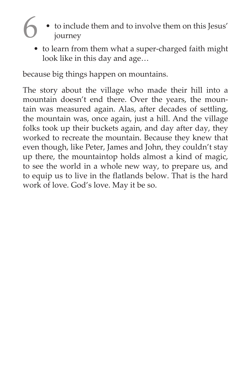- 6 to include them and to involve them on this Jesus' journey
	- to learn from them what a super-charged faith might look like in this day and age…

because big things happen on mountains.

The story about the village who made their hill into a mountain doesn't end there. Over the years, the mountain was measured again. Alas, after decades of settling, the mountain was, once again, just a hill. And the village folks took up their buckets again, and day after day, they worked to recreate the mountain. Because they knew that even though, like Peter, James and John, they couldn't stay up there, the mountaintop holds almost a kind of magic, to see the world in a whole new way, to prepare us, and to equip us to live in the flatlands below. That is the hard work of love. God's love. May it be so.